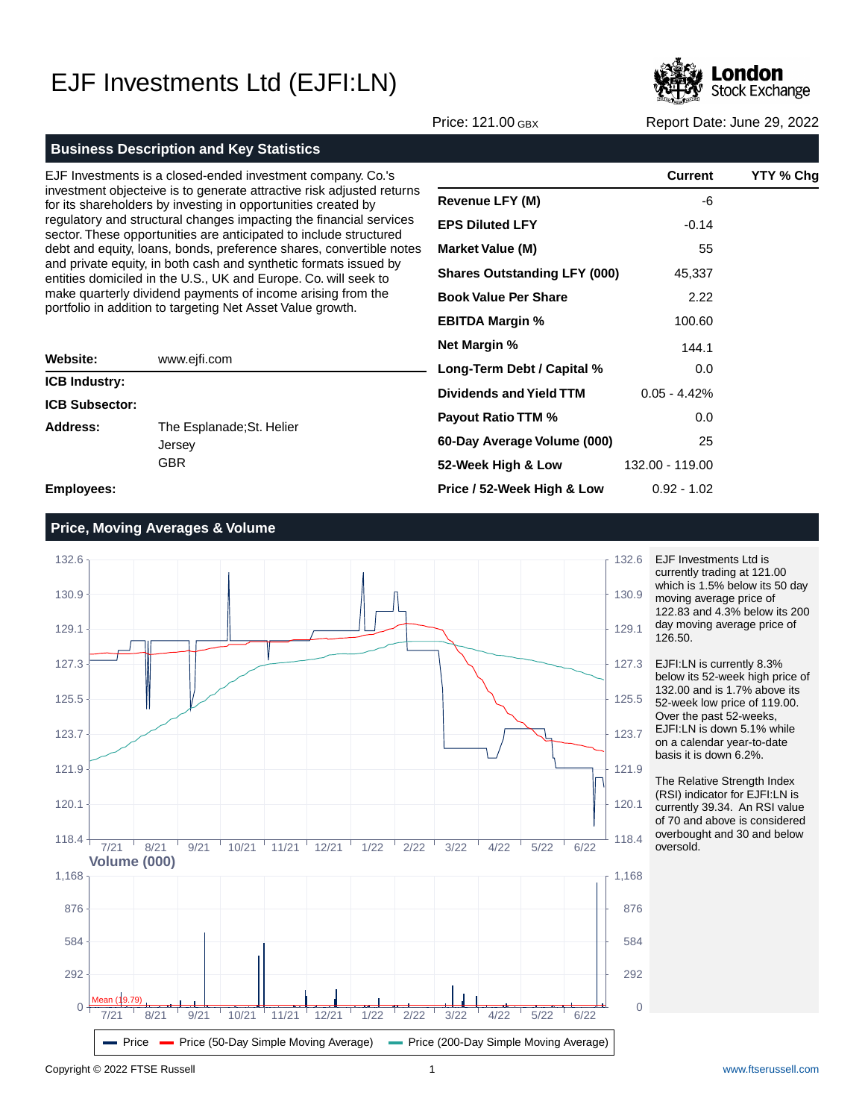

Price: 121.00 GBX Report Date: June 29, 2022

#### **Business Description and Key Statistics**

EJF Investments is a closed-ended investment company. Co.'s investment objecteive is to generate attractive risk adjusted returns for its shareholders by investing in opportunities created by regulatory and structural changes impacting the financial services sector. These opportunities are anticipated to include structured debt and equity, loans, bonds, preference shares, convertible notes and private equity, in both cash and synthetic formats issued by entities domiciled in the U.S., UK and Europe. Co. will seek to make quarterly dividend payments of income arising from the portfolio in addition to targeting Net Asset Value growth.

| Website:              | www.ejfi.com                                      |
|-----------------------|---------------------------------------------------|
| <b>ICB Industry:</b>  |                                                   |
| <b>ICB Subsector:</b> |                                                   |
| Address:              | The Esplanade; St. Helier<br>Jersey<br><b>GBR</b> |

|                                     | Current         | YTY % Chg |
|-------------------------------------|-----------------|-----------|
| <b>Revenue LFY (M)</b>              | -6              |           |
| <b>EPS Diluted LFY</b>              | $-0.14$         |           |
| <b>Market Value (M)</b>             | 55              |           |
| <b>Shares Outstanding LFY (000)</b> | 45,337          |           |
| <b>Book Value Per Share</b>         | 2.22            |           |
| <b>EBITDA Margin %</b>              | 100.60          |           |
| <b>Net Margin %</b>                 | 144.1           |           |
| Long-Term Debt / Capital %          | 0.0             |           |
| Dividends and Yield TTM             | $0.05 - 4.42%$  |           |
| <b>Payout Ratio TTM %</b>           | 0.0             |           |
| 60-Day Average Volume (000)         | 25              |           |
| 52-Week High & Low                  | 132.00 - 119.00 |           |
| Price / 52-Week High & Low          | $0.92 - 1.02$   |           |

**Employees:**

### **Price, Moving Averages & Volume**



EJF Investments Ltd is currently trading at 121.00 which is 1.5% below its 50 day moving average price of 122.83 and 4.3% below its 200 day moving average price of 126.50.

EJFI:LN is currently 8.3% below its 52-week high price of 132.00 and is 1.7% above its 52-week low price of 119.00. Over the past 52-weeks, EJFI:LN is down 5.1% while on a calendar year-to-date basis it is down 6.2%.

The Relative Strength Index (RSI) indicator for EJFI:LN is currently 39.34. An RSI value of 70 and above is considered overbought and 30 and below oversold.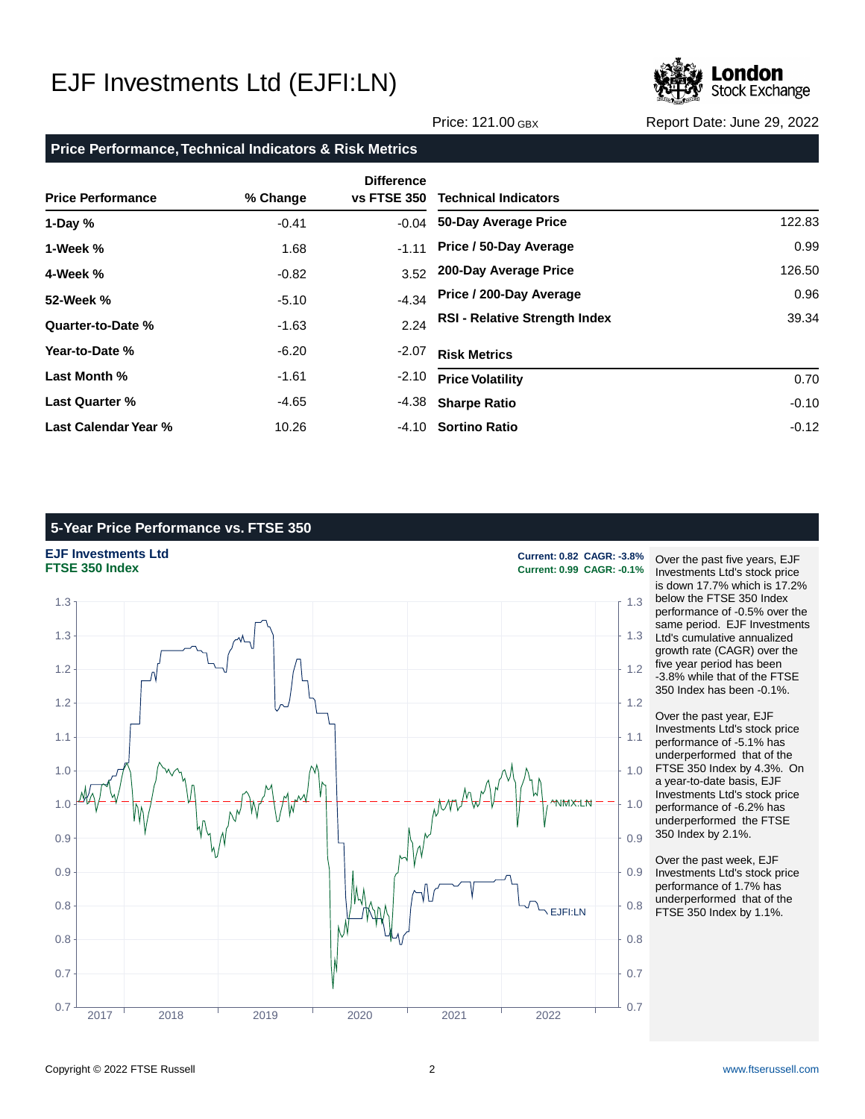

Price: 121.00 GBX Report Date: June 29, 2022

#### **Price Performance, Technical Indicators & Risk Metrics**

| <b>Price Performance</b> | % Change | <b>Difference</b><br>vs FTSE 350 | <b>Technical Indicators</b>          |         |
|--------------------------|----------|----------------------------------|--------------------------------------|---------|
| 1-Day $%$                | $-0.41$  | $-0.04$                          | 50-Day Average Price                 | 122.83  |
| 1-Week %                 | 1.68     | $-1.11$                          | Price / 50-Day Average               | 0.99    |
| 4-Week %                 | $-0.82$  | 3.52                             | 200-Day Average Price                | 126.50  |
| 52-Week %                | $-5.10$  | $-4.34$                          | Price / 200-Day Average              | 0.96    |
| Quarter-to-Date %        | $-1.63$  | 2.24                             | <b>RSI - Relative Strength Index</b> | 39.34   |
| Year-to-Date %           | $-6.20$  | $-2.07$                          | <b>Risk Metrics</b>                  |         |
| Last Month %             | $-1.61$  | $-2.10$                          | <b>Price Volatility</b>              | 0.70    |
| <b>Last Quarter %</b>    | $-4.65$  |                                  | -4.38 Sharpe Ratio                   | $-0.10$ |
| Last Calendar Year %     | 10.26    |                                  | -4.10 Sortino Ratio                  | $-0.12$ |

### **5-Year Price Performance vs. FTSE 350**

### **EJF Investments Ltd Current: 0.82 CAGR: -3.8%**



**FTSE 350 Index Current: 0.99 CAGR: -0.1%**

Over the past five years, EJF Investments Ltd's stock price is down 17.7% which is 17.2% below the FTSE 350 Index performance of -0.5% over the same period. EJF Investments Ltd's cumulative annualized growth rate (CAGR) over the five year period has been -3.8% while that of the FTSE 350 Index has been -0.1%.

Over the past year, EJF Investments Ltd's stock price performance of -5.1% has underperformed that of the FTSE 350 Index by 4.3%. On a year-to-date basis, EJF Investments Ltd's stock price performance of -6.2% has underperformed the FTSE 350 Index by 2.1%.

Over the past week, EJF Investments Ltd's stock price performance of 1.7% has underperformed that of the FTSE 350 Index by 1.1%.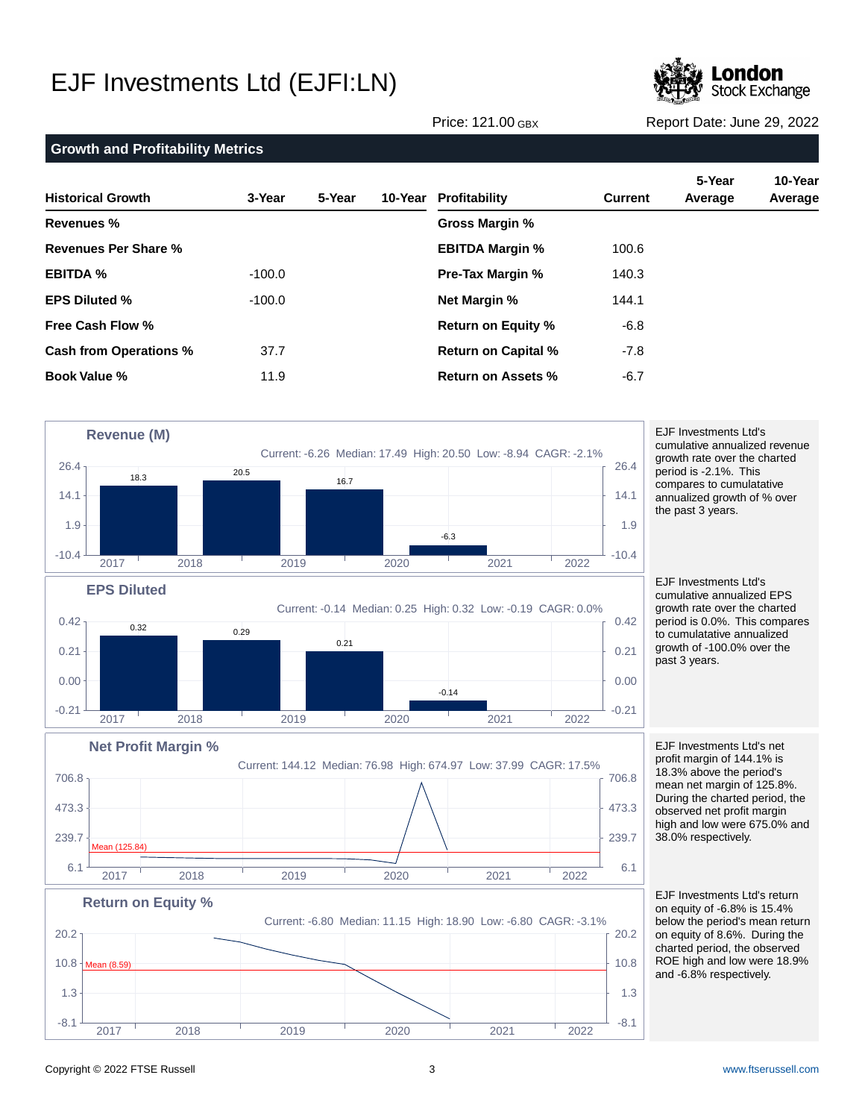

Price: 121.00 GBX Report Date: June 29, 2022

#### **Growth and Profitability Metrics Historical Growth 3-Year 5-Year 10-Year Revenues % Revenues Per Share % EBITDA % EPS Diluted % Free Cash Flow % Cash from Operations % Book Value % 10-Year Profitability 5-Year 10-Year Current Average Average Gross Margin % EBITDA Margin % Pre-Tax Margin % Net Margin % Return on Equity % Return on Capital % Return on Assets %** -100.0  $-100.0$ 37.7 11.9 100.6 140.3 144.1 -6.8 -7.8 -6.7



Copyright © 2022 FTSE Russell 3 [www.ftserussell.com](http://www.ftserussell.com)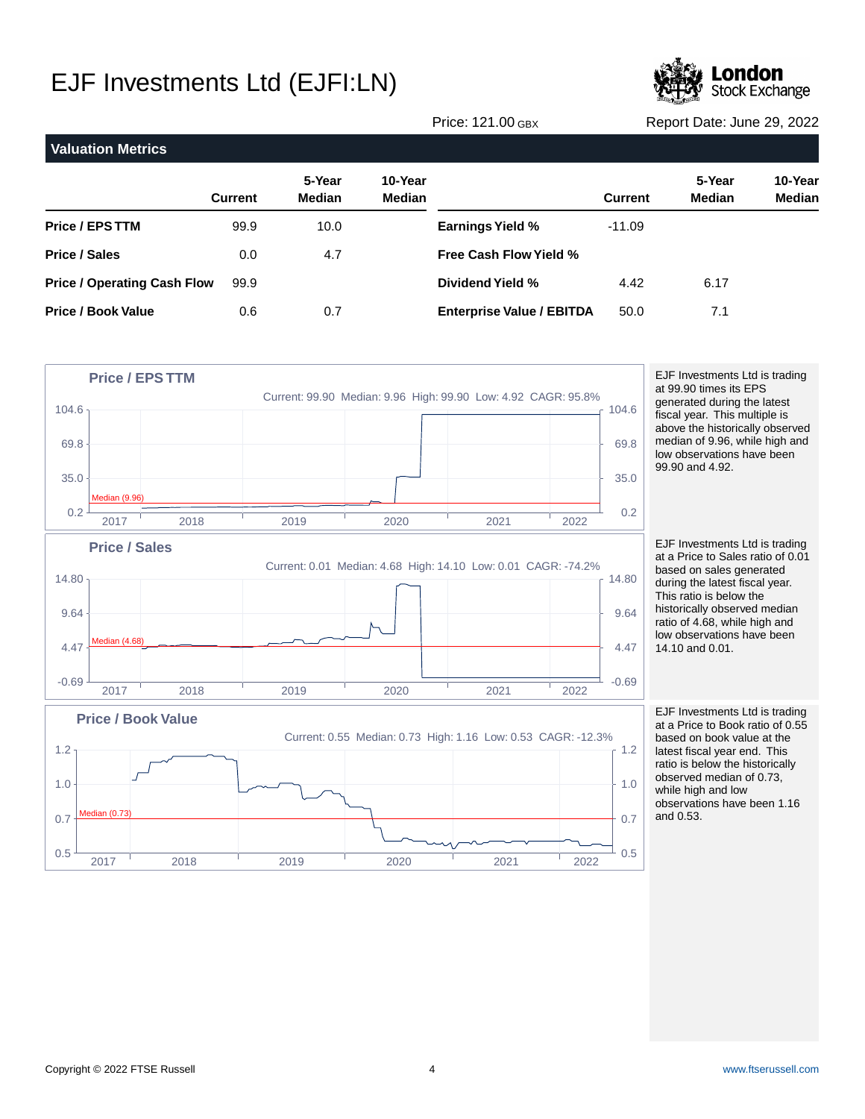

Price: 121.00 GBX Report Date: June 29, 2022

| <b>Valuation Metrics</b>           |                |                         |                          |                                  |                |                         |                   |
|------------------------------------|----------------|-------------------------|--------------------------|----------------------------------|----------------|-------------------------|-------------------|
|                                    | <b>Current</b> | 5-Year<br><b>Median</b> | 10-Year<br><b>Median</b> |                                  | <b>Current</b> | 5-Year<br><b>Median</b> | 10-Year<br>Median |
| <b>Price / EPS TTM</b>             | 99.9           | 10.0                    |                          | <b>Earnings Yield %</b>          | $-11.09$       |                         |                   |
| <b>Price / Sales</b>               | 0.0            | 4.7                     |                          | <b>Free Cash Flow Yield %</b>    |                |                         |                   |
| <b>Price / Operating Cash Flow</b> | 99.9           |                         |                          | Dividend Yield %                 | 4.42           | 6.17                    |                   |
| <b>Price / Book Value</b>          | 0.6            | 0.7                     |                          | <b>Enterprise Value / EBITDA</b> | 50.0           | 7.1                     |                   |

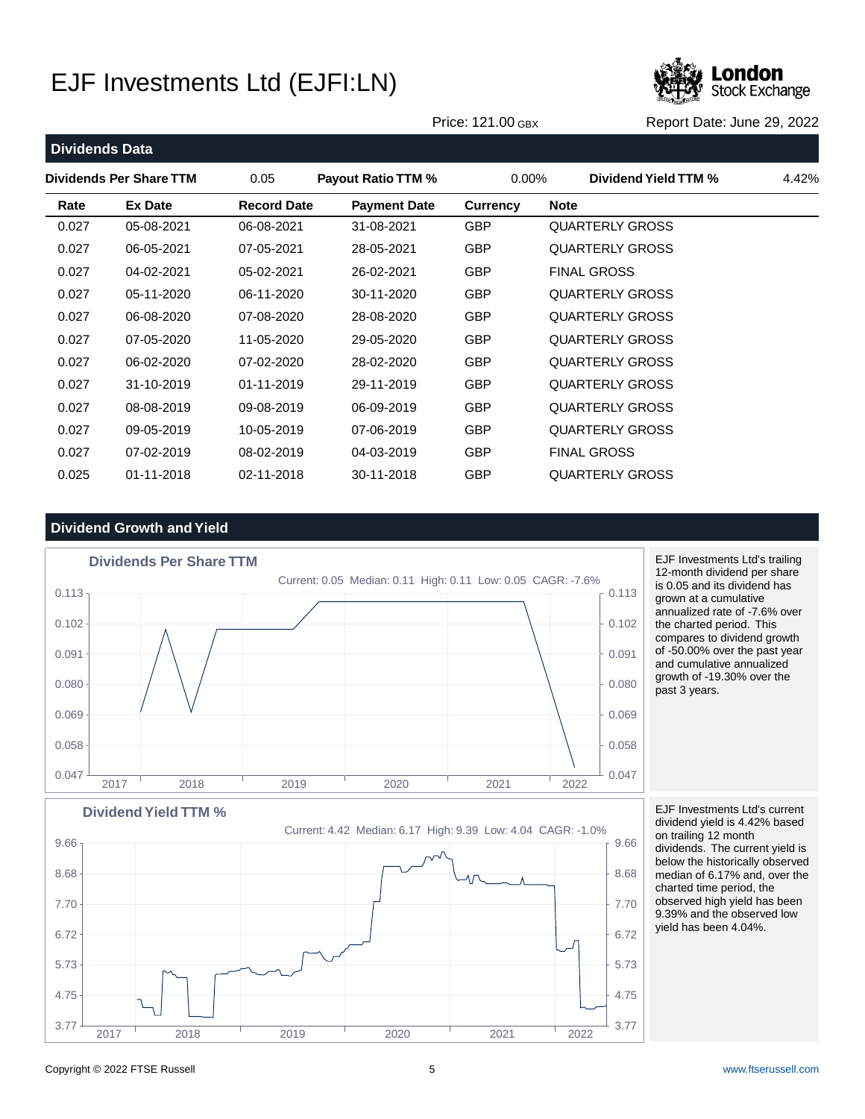

Price: 121.00 GBX Report Date: June 29, 2022

| <b>Dividends Data</b> |                         |                    |                           |                 |             |                        |       |
|-----------------------|-------------------------|--------------------|---------------------------|-----------------|-------------|------------------------|-------|
|                       | Dividends Per Share TTM | 0.05               | <b>Payout Ratio TTM %</b> | $0.00\%$        |             | Dividend Yield TTM %   | 4.42% |
| Rate                  | <b>Ex Date</b>          | <b>Record Date</b> | <b>Payment Date</b>       | <b>Currency</b> | <b>Note</b> |                        |       |
| 0.027                 | 05-08-2021              | 06-08-2021         | 31-08-2021                | <b>GBP</b>      |             | <b>QUARTERLY GROSS</b> |       |
| 0.027                 | 06-05-2021              | 07-05-2021         | 28-05-2021                | <b>GBP</b>      |             | <b>QUARTERLY GROSS</b> |       |
| 0.027                 | 04-02-2021              | 05-02-2021         | 26-02-2021                | <b>GBP</b>      |             | <b>FINAL GROSS</b>     |       |
| 0.027                 | 05-11-2020              | 06-11-2020         | 30-11-2020                | <b>GBP</b>      |             | <b>QUARTERLY GROSS</b> |       |
| 0.027                 | 06-08-2020              | 07-08-2020         | 28-08-2020                | <b>GBP</b>      |             | <b>QUARTERLY GROSS</b> |       |
| 0.027                 | 07-05-2020              | 11-05-2020         | 29-05-2020                | <b>GBP</b>      |             | <b>QUARTERLY GROSS</b> |       |
| 0.027                 | 06-02-2020              | 07-02-2020         | 28-02-2020                | <b>GBP</b>      |             | <b>QUARTERLY GROSS</b> |       |
| 0.027                 | 31-10-2019              | 01-11-2019         | 29-11-2019                | <b>GBP</b>      |             | <b>QUARTERLY GROSS</b> |       |
| 0.027                 | 08-08-2019              | 09-08-2019         | 06-09-2019                | <b>GBP</b>      |             | <b>QUARTERLY GROSS</b> |       |
| 0.027                 | 09-05-2019              | 10-05-2019         | 07-06-2019                | <b>GBP</b>      |             | <b>QUARTERLY GROSS</b> |       |
| 0.027                 | 07-02-2019              | 08-02-2019         | 04-03-2019                | <b>GBP</b>      |             | <b>FINAL GROSS</b>     |       |
| 0.025                 | 01-11-2018              | 02-11-2018         | 30-11-2018                | <b>GBP</b>      |             | <b>QUARTERLY GROSS</b> |       |

### **Dividend Growth and Yield**



EJF Investments Ltd's trailing 12-month dividend per share is 0.05 and its dividend has grown at a cumulative annualized rate of -7.6% over the charted period. This compares to dividend growth of -50.00% over the past year and cumulative annualized growth of -19.30% over the past 3 years.

Current: 4.42 Median: 6.17 High: 9.39 Low: 4.04 CAGR: -1.0% **Dividend Yield TTM %**  $3.77 \frac{1}{2.000}$  3.77 4.75 and the contract of the contract of the contract of the contract of the contract of the contract of the contract of the contract of the contract of the contract of the contract of the contract of the contract of the c  $5.73$   $\uparrow$   $\uparrow$  5.73 6.72  $\uparrow$  6.72 7.70 7.70  $8.68$  8.68 8.68 9.66 9.66 2017 2018 2019 2020 2021 2022

EJF Investments Ltd's current dividend yield is 4.42% based on trailing 12 month dividends. The current yield is below the historically observed median of 6.17% and, over the charted time period, the observed high yield has been 9.39% and the observed low yield has been 4.04%.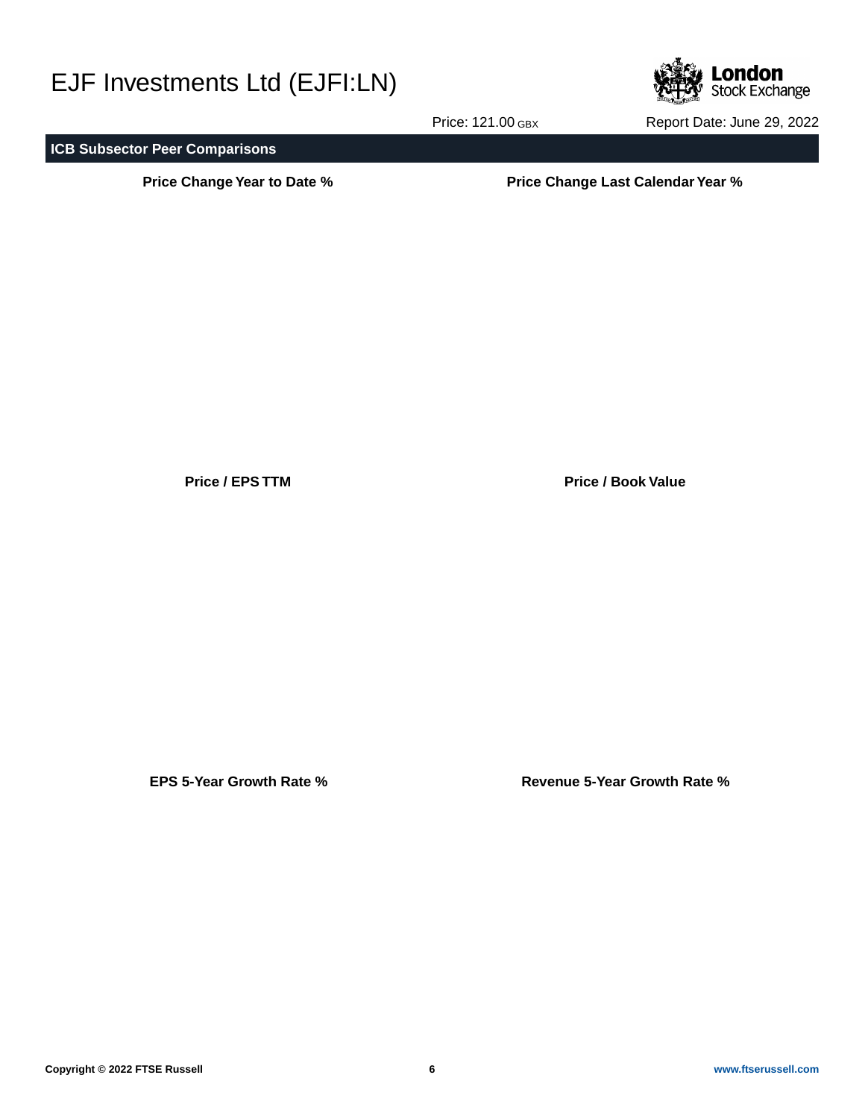

Price: 121.00 GBX Report Date: June 29, 2022

### **ICB Subsector Peer Comparisons**

**Price Change Year to Date % Price Change Last Calendar Year %**

**Price / EPS TTM Price / Book Value**

**EPS 5-Year Growth Rate % Revenue 5-Year Growth Rate %**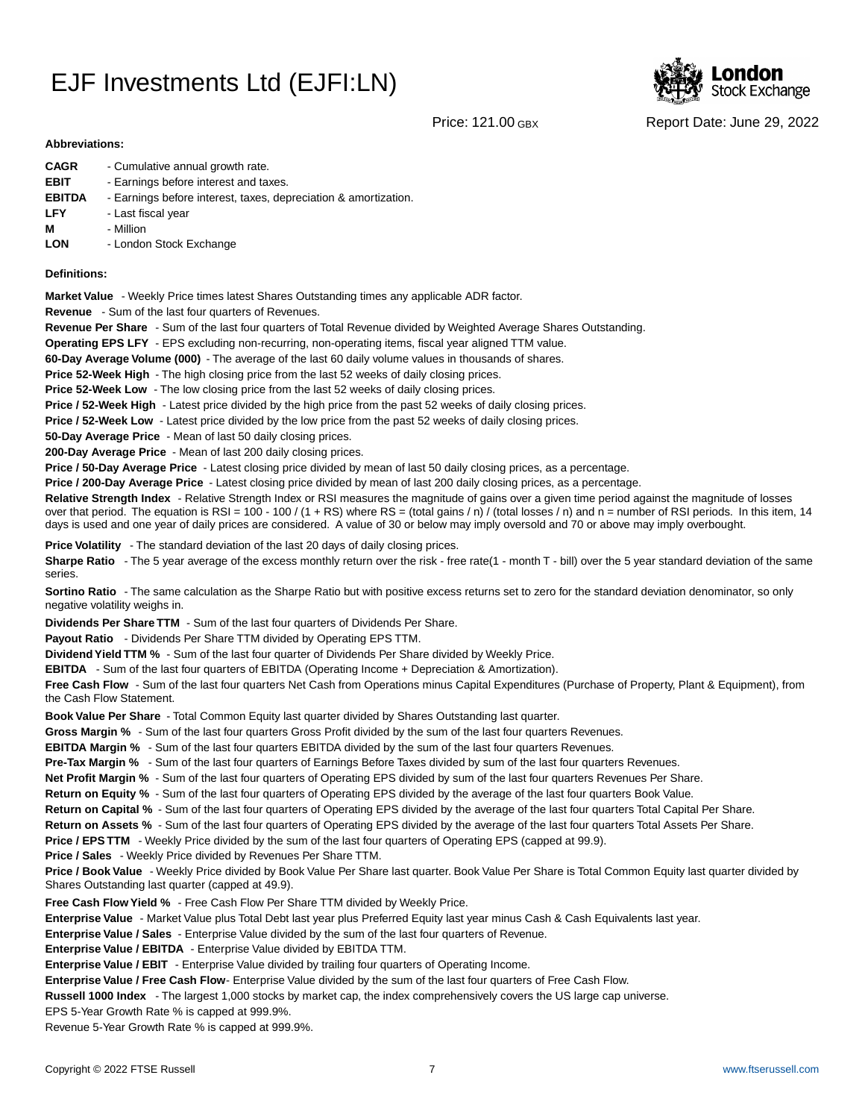

Price: 121.00 GBX Report Date: June 29, 2022

#### **Abbreviations:**

| <b>CAGR</b>   | - Cumulative annual growth rate.                                |
|---------------|-----------------------------------------------------------------|
| <b>EBIT</b>   | - Earnings before interest and taxes.                           |
| <b>EBITDA</b> | - Earnings before interest, taxes, depreciation & amortization. |
| <b>LFY</b>    | - Last fiscal year                                              |
| м             | - Million                                                       |
| <b>LON</b>    | - London Stock Exchange                                         |

#### **Definitions:**

**Market Value** - Weekly Price times latest Shares Outstanding times any applicable ADR factor.

**Revenue** - Sum of the last four quarters of Revenues.

**Revenue Per Share** - Sum of the last four quarters of Total Revenue divided by Weighted Average Shares Outstanding.

**Operating EPS LFY** - EPS excluding non-recurring, non-operating items, fiscal year aligned TTM value.

60-Day Average Volume (000) - The average of the last 60 daily volume values in thousands of shares.

**Price 52-Week High** - The high closing price from the last 52 weeks of daily closing prices.

**Price 52-Week Low** - The low closing price from the last 52 weeks of daily closing prices.

**Price / 52-Week High** - Latest price divided by the high price from the past 52 weeks of daily closing prices.

**Price / 52-Week Low** - Latest price divided by the low price from the past 52 weeks of daily closing prices.

**50-Day Average Price** - Mean of last 50 daily closing prices.

**200-Day Average Price** - Mean of last 200 daily closing prices.

Price / 50-Day Average Price - Latest closing price divided by mean of last 50 daily closing prices, as a percentage.

**Price / 200-Day Average Price** - Latest closing price divided by mean of last 200 daily closing prices, as a percentage.

Relative Strength Index - Relative Strength Index or RSI measures the magnitude of gains over a given time period against the magnitude of losses over that period. The equation is RSI = 100 - 100 / (1 + RS) where RS = (total gains / n) / (total losses / n) and n = number of RSI periods. In this item, 14 days is used and one year of daily prices are considered. A value of 30 or below may imply oversold and 70 or above may imply overbought.

**Price Volatility** - The standard deviation of the last 20 days of daily closing prices.

Sharpe Ratio - The 5 year average of the excess monthly return over the risk - free rate(1 - month T - bill) over the 5 year standard deviation of the same series.

**Sortino Ratio** - The same calculation as the Sharpe Ratio but with positive excess returns set to zero for the standard deviation denominator, so only negative volatility weighs in.

**Dividends Per Share TTM** - Sum of the last four quarters of Dividends Per Share.

Payout Ratio - Dividends Per Share TTM divided by Operating EPS TTM.

**Dividend Yield TTM %** - Sum of the last four quarter of Dividends Per Share divided by Weekly Price.

**EBITDA** - Sum of the last four quarters of EBITDA (Operating Income + Depreciation & Amortization).

**Free Cash Flow** - Sum of the last four quarters Net Cash from Operations minus Capital Expenditures (Purchase of Property, Plant & Equipment), from the Cash Flow Statement.

**Book Value Per Share** - Total Common Equity last quarter divided by Shares Outstanding last quarter.

**Gross Margin %** - Sum of the last four quarters Gross Profit divided by the sum of the last four quarters Revenues.

**EBITDA Margin %** - Sum of the last four quarters EBITDA divided by the sum of the last four quarters Revenues.

**Pre-Tax Margin %** - Sum of the last four quarters of Earnings Before Taxes divided by sum of the last four quarters Revenues.

**Net Profit Margin %** - Sum of the last four quarters of Operating EPS divided by sum of the last four quarters Revenues Per Share.

**Return on Equity %** - Sum of the last four quarters of Operating EPS divided by the average of the last four quarters Book Value.

**Return on Capital %** - Sum of the last four quarters of Operating EPS divided by the average of the last four quarters Total Capital Per Share.

**Return on Assets %** - Sum of the last four quarters of Operating EPS divided by the average of the last four quarters Total Assets Per Share.

**Price / EPS TTM** - Weekly Price divided by the sum of the last four quarters of Operating EPS (capped at 99.9).

**Price / Sales** - Weekly Price divided by Revenues Per Share TTM.

**Price / Book Value** - Weekly Price divided by Book Value Per Share last quarter. Book Value Per Share is Total Common Equity last quarter divided by Shares Outstanding last quarter (capped at 49.9).

**Free Cash Flow Yield %** - Free Cash Flow Per Share TTM divided by Weekly Price.

Enterprise Value - Market Value plus Total Debt last year plus Preferred Equity last year minus Cash & Cash Equivalents last year.

**Enterprise Value / Sales** - Enterprise Value divided by the sum of the last four quarters of Revenue.

**Enterprise Value / EBITDA** - Enterprise Value divided by EBITDA TTM.

**Enterprise Value / EBIT** - Enterprise Value divided by trailing four quarters of Operating Income.

Enterprise Value / Free Cash Flow- Enterprise Value divided by the sum of the last four quarters of Free Cash Flow.

**Russell 1000 Index** - The largest 1,000 stocks by market cap, the index comprehensively covers the US large cap universe.

EPS 5-Year Growth Rate % is capped at 999.9%.

Revenue 5-Year Growth Rate % is capped at 999.9%.